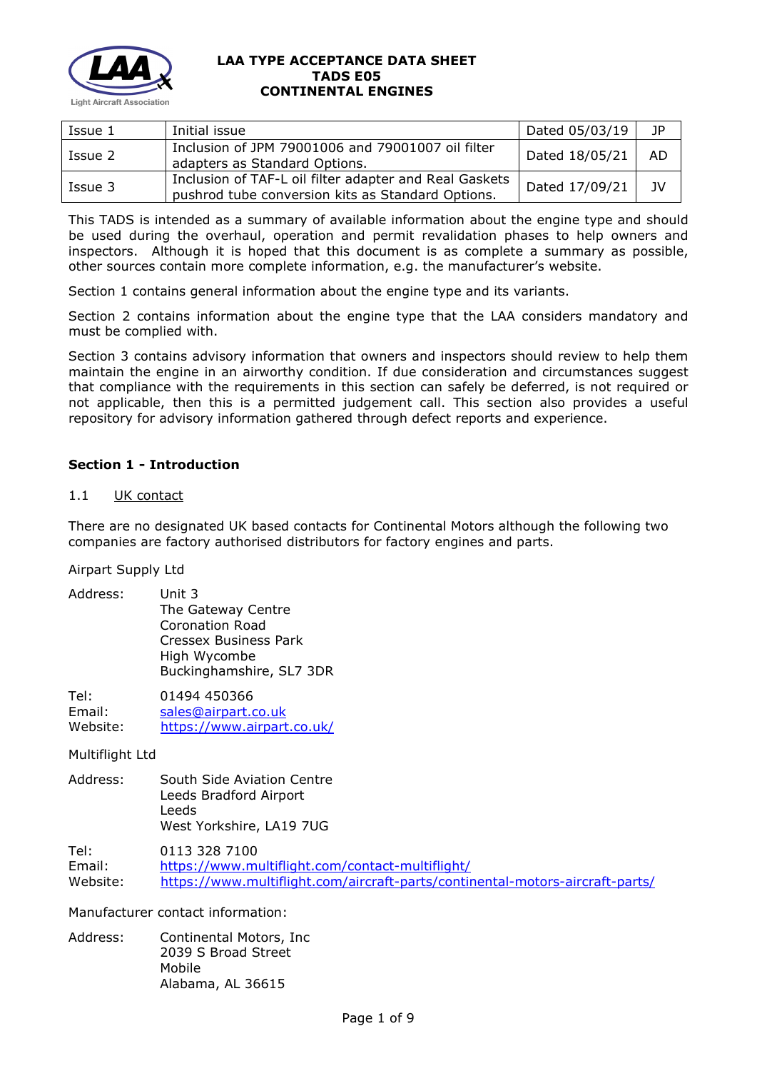

| Issue 1 | Initial issue                                                                                               | Dated 05/03/19 | JP. |
|---------|-------------------------------------------------------------------------------------------------------------|----------------|-----|
| Issue 2 | Inclusion of JPM 79001006 and 79001007 oil filter<br>adapters as Standard Options.                          | Dated 18/05/21 | AD. |
| Issue 3 | Inclusion of TAF-L oil filter adapter and Real Gaskets<br>pushrod tube conversion kits as Standard Options. | Dated 17/09/21 | JV  |

This TADS is intended as a summary of available information about the engine type and should be used during the overhaul, operation and permit revalidation phases to help owners and inspectors. Although it is hoped that this document is as complete a summary as possible, other sources contain more complete information, e.g. the manufacturer's website.

Section 1 contains general information about the engine type and its variants.

Section 2 contains information about the engine type that the LAA considers mandatory and must be complied with.

Section 3 contains advisory information that owners and inspectors should review to help them maintain the engine in an airworthy condition. If due consideration and circumstances suggest that compliance with the requirements in this section can safely be deferred, is not required or not applicable, then this is a permitted judgement call. This section also provides a useful repository for advisory information gathered through defect reports and experience.

# **Section 1 - Introduction**

### 1.1 UK contact

There are no designated UK based contacts for Continental Motors although the following two companies are factory authorised distributors for factory engines and parts.

Airpart Supply Ltd

| Address:                   | Unit 3<br>The Gateway Centre<br>Coronation Road<br><b>Cressex Business Park</b><br>High Wycombe<br>Buckinghamshire, SL7 3DR                        |
|----------------------------|----------------------------------------------------------------------------------------------------------------------------------------------------|
| Tel:<br>Email:<br>Website: | 01494 450366<br>sales@airpart.co.uk<br>https://www.airpart.co.uk/                                                                                  |
| Multiflight Ltd            |                                                                                                                                                    |
| Address:                   | South Side Aviation Centre<br>Leeds Bradford Airport<br>Leeds<br>West Yorkshire, LA19 7UG                                                          |
| Tel:<br>Email:<br>Website: | 0113 328 7100<br>https://www.multiflight.com/contact-multiflight/<br>https://www.multiflight.com/aircraft-parts/continental-motors-aircraft-parts/ |
|                            | Manufacturer contact information:                                                                                                                  |
| Address:                   | Continental Motors, Inc.<br>2039 S Broad Street<br>Mobile                                                                                          |

Alabama, AL 36615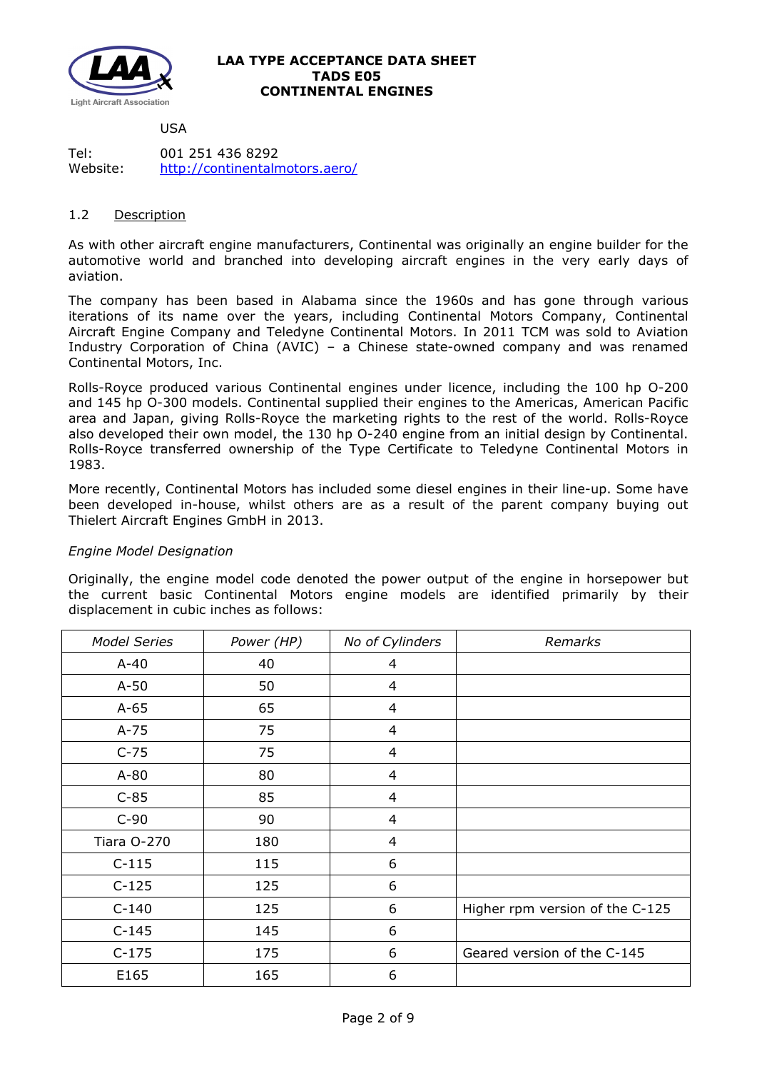

USA

Tel: 001 251 436 8292 Website: <http://continentalmotors.aero/>

## 1.2 Description

As with other aircraft engine manufacturers, Continental was originally an engine builder for the automotive world and branched into developing aircraft engines in the very early days of aviation.

The company has been based in Alabama since the 1960s and has gone through various iterations of its name over the years, including Continental Motors Company, Continental Aircraft Engine Company and Teledyne Continental Motors. In 2011 TCM was sold to Aviation Industry Corporation of China (AVIC) – a Chinese state-owned company and was renamed Continental Motors, Inc.

Rolls-Royce produced various Continental engines under licence, including the 100 hp O-200 and 145 hp O-300 models. Continental supplied their engines to the Americas, American Pacific area and Japan, giving Rolls-Royce the marketing rights to the rest of the world. Rolls-Royce also developed their own model, the 130 hp O-240 engine from an initial design by Continental. Rolls-Royce transferred ownership of the Type Certificate to Teledyne Continental Motors in 1983.

More recently, Continental Motors has included some diesel engines in their line-up. Some have been developed in-house, whilst others are as a result of the parent company buying out Thielert Aircraft Engines GmbH in 2013.

# *Engine Model Designation*

Originally, the engine model code denoted the power output of the engine in horsepower but the current basic Continental Motors engine models are identified primarily by their displacement in cubic inches as follows:

| <b>Model Series</b> | Power (HP) | No of Cylinders | Remarks                         |
|---------------------|------------|-----------------|---------------------------------|
| $A-40$              | 40         | 4               |                                 |
| $A-50$              | 50         | $\overline{4}$  |                                 |
| $A-65$              | 65         | $\overline{4}$  |                                 |
| $A-75$              | 75         | 4               |                                 |
| $C-75$              | 75         | $\overline{4}$  |                                 |
| $A-80$              | 80         | 4               |                                 |
| $C-85$              | 85         | 4               |                                 |
| $C-90$              | 90         | $\overline{4}$  |                                 |
| Tiara O-270         | 180        | 4               |                                 |
| $C-115$             | 115        | 6               |                                 |
| $C-125$             | 125        | 6               |                                 |
| $C-140$             | 125        | 6               | Higher rpm version of the C-125 |
| $C-145$             | 145        | 6               |                                 |
| $C-175$             | 175        | 6               | Geared version of the C-145     |
| E165                | 165        | 6               |                                 |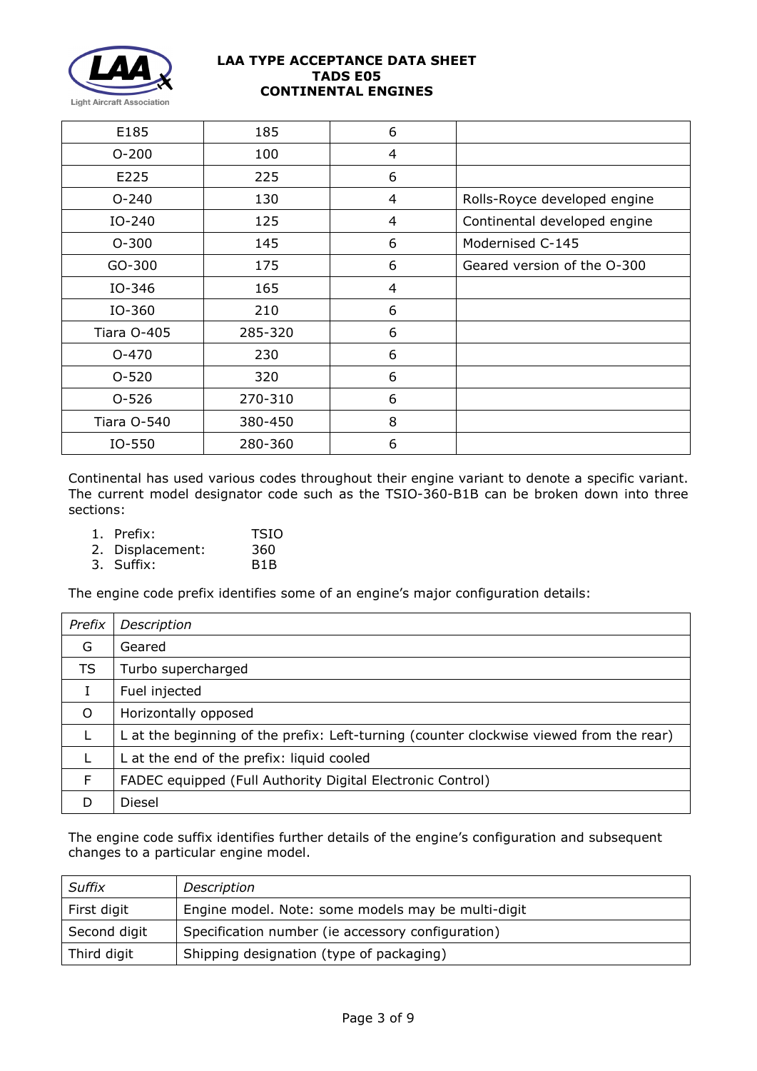

| E185        | 185     | 6 |                              |
|-------------|---------|---|------------------------------|
| $O - 200$   | 100     | 4 |                              |
| E225        | 225     | 6 |                              |
| $O - 240$   | 130     | 4 | Rolls-Royce developed engine |
| IO-240      | 125     | 4 | Continental developed engine |
| $O-300$     | 145     | 6 | Modernised C-145             |
| GO-300      | 175     | 6 | Geared version of the O-300  |
| IO-346      | 165     | 4 |                              |
| IO-360      | 210     | 6 |                              |
| Tiara O-405 | 285-320 | 6 |                              |
| $O - 470$   | 230     | 6 |                              |
| $O - 520$   | 320     | 6 |                              |
| $O - 526$   | 270-310 | 6 |                              |
| Tiara O-540 | 380-450 | 8 |                              |
| IO-550      | 280-360 | 6 |                              |

Continental has used various codes throughout their engine variant to denote a specific variant. The current model designator code such as the TSIO-360-B1B can be broken down into three sections:

| 1. Prefix:       | <b>TSIO</b>      |
|------------------|------------------|
| 2. Displacement: | 360              |
| 3. Suffix:       | B <sub>1</sub> B |

The engine code prefix identifies some of an engine's major configuration details:

| Prefix    | Description                                                                             |
|-----------|-----------------------------------------------------------------------------------------|
| G         | Geared                                                                                  |
| <b>TS</b> | Turbo supercharged                                                                      |
|           | Fuel injected                                                                           |
| $\circ$   | Horizontally opposed                                                                    |
|           | L at the beginning of the prefix: Left-turning (counter clockwise viewed from the rear) |
|           | L at the end of the prefix: liquid cooled                                               |
| F         | FADEC equipped (Full Authority Digital Electronic Control)                              |
| D         | Diesel                                                                                  |

The engine code suffix identifies further details of the engine's configuration and subsequent changes to a particular engine model.

| Suffix       | Description                                        |
|--------------|----------------------------------------------------|
| First digit  | Engine model. Note: some models may be multi-digit |
| Second digit | Specification number (ie accessory configuration)  |
| Third digit  | Shipping designation (type of packaging)           |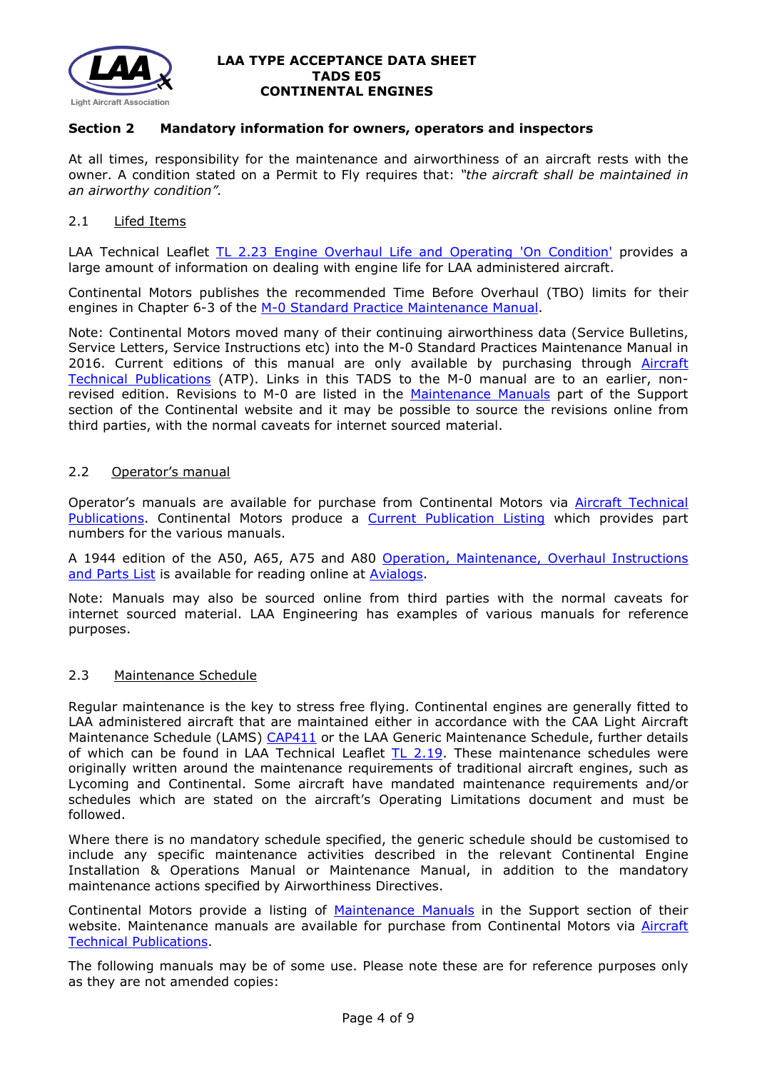

### **Section 2 Mandatory information for owners, operators and inspectors**

At all times, responsibility for the maintenance and airworthiness of an aircraft rests with the owner. A condition stated on a Permit to Fly requires that: *"the aircraft shall be maintained in an airworthy condition".* 

### 2.1 Lifed Items

LAA Technical Leaflet [TL 2.23 Engine Overhaul Life and Operating 'On Condition'](http://www.lightaircraftassociation.co.uk/engineering/TechnicalLeaflets/Operating%20An%20Aircraft/TL%202%2023%20Engine%20overhaul%20life%20and%20operating%20on-condition.pdf) provides a large amount of information on dealing with engine life for LAA administered aircraft.

Continental Motors publishes the recommended Time Before Overhaul (TBO) limits for their engines in Chapter 6-3 of the [M-0 Standard Practice Maintenance Manual.](http://www.lightaircraftassociation.co.uk/engineering/TADs/E05/M-0%20Continental%20Standard%20Practice%20Change%203%20010117.pdf)

Note: Continental Motors moved many of their continuing airworthiness data (Service Bulletins, Service Letters, Service Instructions etc) into the M-0 Standard Practices Maintenance Manual in 2016. Current editions of this manual are only available by purchasing through Aircraft [Technical Publications](https://www.atp.com/) (ATP). Links in this TADS to the M-0 manual are to an earlier, nonrevised edition. Revisions to M-0 are listed in the [Maintenance Manuals](http://www.continentalmotors.aero/support/maintenance-manuals.aspx) part of the Support section of the Continental website and it may be possible to source the revisions online from third parties, with the normal caveats for internet sourced material.

#### 2.2 Operator's manual

Operator's manuals are available for purchase from Continental Motors via [Aircraft Technical](https://www.atp.com/)  [Publications.](https://www.atp.com/) Continental Motors produce a [Current Publication Listing](https://www.continentalmotors.aero/uploadedFiles/Content/Support/CMITechPubIndex.pdf) which provides part numbers for the various manuals.

A 1944 edition of the A50, A65, A75 and A80 [Operation, Maintenance, Overhaul](http://www.avialogs.com/index.php/engines/usa/continental/a-50/maintenance-and-overhaul-manual-continental-models-a50-a65-a75-and-a80-aircraft-engines.html) Instructions [and Parts List](http://www.avialogs.com/index.php/engines/usa/continental/a-50/maintenance-and-overhaul-manual-continental-models-a50-a65-a75-and-a80-aircraft-engines.html) is available for reading online at [Avialogs.](http://www.avialogs.com/)

Note: Manuals may also be sourced online from third parties with the normal caveats for internet sourced material. LAA Engineering has examples of various manuals for reference purposes.

#### 2.3 Maintenance Schedule

Regular maintenance is the key to stress free flying. Continental engines are generally fitted to LAA administered aircraft that are maintained either in accordance with the CAA Light Aircraft Maintenance Schedule (LAMS) [CAP411](http://www.caa.co.uk/CAP411) or the LAA Generic Maintenance Schedule, further details of which can be found in LAA Technical Leaflet [TL 2.19.](http://www.lightaircraftassociation.co.uk/engineering/TechnicalLeaflets/Operating%20An%20Aircraft/TL%202.19%20The%20LAA%20Generic%20Maintenance%20Schedule.pdf) These maintenance schedules were originally written around the maintenance requirements of traditional aircraft engines, such as Lycoming and Continental. Some aircraft have mandated maintenance requirements and/or schedules which are stated on the aircraft's Operating Limitations document and must be followed.

Where there is no mandatory schedule specified, the generic schedule should be customised to include any specific maintenance activities described in the relevant Continental Engine Installation & Operations Manual or Maintenance Manual, in addition to the mandatory maintenance actions specified by Airworthiness Directives.

Continental Motors provide a listing of [Maintenance Manuals](http://www.continentalmotors.aero/support/maintenance-manuals.aspx) in the Support section of their website. Maintenance manuals are available for purchase from Continental Motors via Aircraft [Technical Publications.](https://www.atp.com/)

The following manuals may be of some use. Please note these are for reference purposes only as they are not amended copies: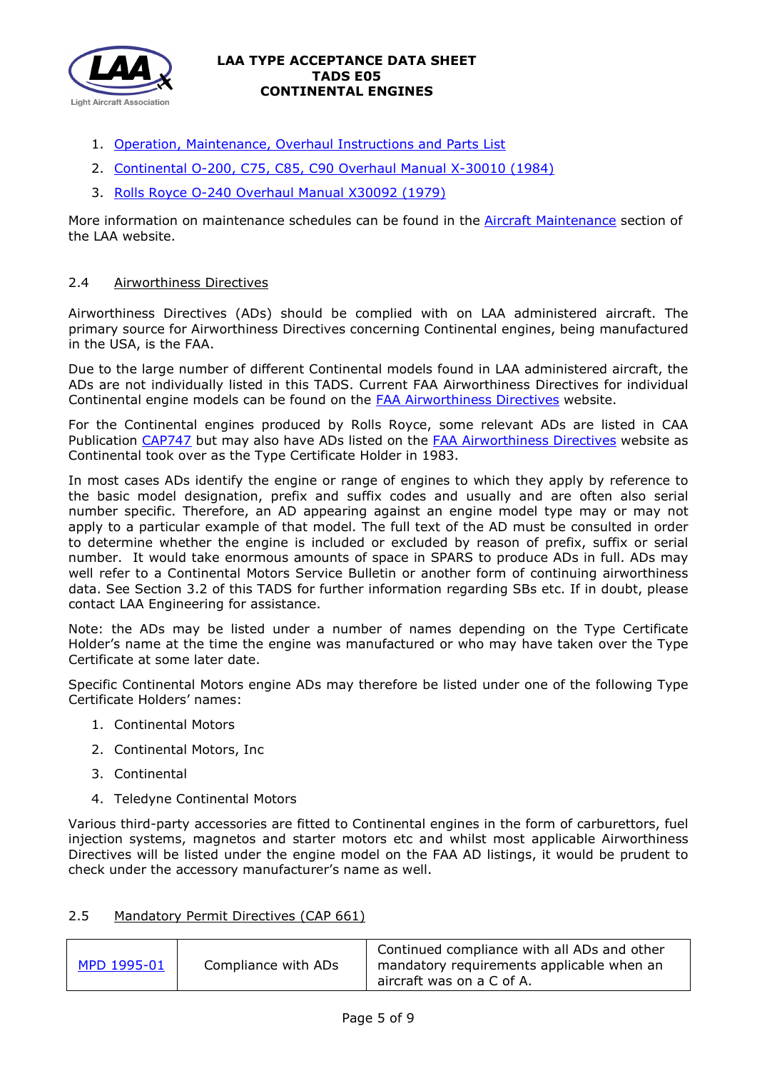

- 1. [Operation, Maintenance, Overhaul Instructions and Parts List](http://www.avialogs.com/index.php/engines/usa/continental/a-50/maintenance-and-overhaul-manual-continental-models-a50-a65-a75-and-a80-aircraft-engines.html)
- 2. [Continental O-200, C75, C85, C90 Overhaul Manual X-30010 \(1984\)](http://www.lightaircraftassociation.co.uk/engineering/TADs/E05/Continental_0200-C75-C85-C90_Overhaul_Manual_v1984%20(1).pdf)
- 3. [Rolls Royce O-240 Overhaul Manual X30092 \(1979\)](http://www.lightaircraftassociation.co.uk/engineering/TADs/E05/RR%20O-240%20Overhaul%20Manual%20X30092-1979.pdf)

More information on maintenance schedules can be found in the [Aircraft Maintenance](http://www.lightaircraftassociation.co.uk/engineering/Maintenance/Aircraft_Maintenance.html) section of the LAA website.

## 2.4 Airworthiness Directives

Airworthiness Directives (ADs) should be complied with on LAA administered aircraft. The primary source for Airworthiness Directives concerning Continental engines, being manufactured in the USA, is the FAA.

Due to the large number of different Continental models found in LAA administered aircraft, the ADs are not individually listed in this TADS. Current FAA Airworthiness Directives for individual Continental engine models can be found on the [FAA Airworthiness Directives](http://rgl.faa.gov/Regulatory_and_Guidance_Library/rgAD.nsf/Frameset?OpenPage) website.

For the Continental engines produced by Rolls Royce, some relevant ADs are listed in CAA Publication [CAP747](http://www.caa.co.uk/CAP747) but may also have ADs listed on the [FAA Airworthiness Directives](http://rgl.faa.gov/Regulatory_and_Guidance_Library/rgAD.nsf/Frameset?OpenPage) website as Continental took over as the Type Certificate Holder in 1983.

In most cases ADs identify the engine or range of engines to which they apply by reference to the basic model designation, prefix and suffix codes and usually and are often also serial number specific. Therefore, an AD appearing against an engine model type may or may not apply to a particular example of that model. The full text of the AD must be consulted in order to determine whether the engine is included or excluded by reason of prefix, suffix or serial number. It would take enormous amounts of space in SPARS to produce ADs in full. ADs may well refer to a Continental Motors Service Bulletin or another form of continuing airworthiness data. See Section 3.2 of this TADS for further information regarding SBs etc. If in doubt, please contact LAA Engineering for assistance.

Note: the ADs may be listed under a number of names depending on the Type Certificate Holder's name at the time the engine was manufactured or who may have taken over the Type Certificate at some later date.

Specific Continental Motors engine ADs may therefore be listed under one of the following Type Certificate Holders' names:

- 1. Continental Motors
- 2. Continental Motors, Inc
- 3. Continental
- 4. Teledyne Continental Motors

Various third-party accessories are fitted to Continental engines in the form of carburettors, fuel injection systems, magnetos and starter motors etc and whilst most applicable Airworthiness Directives will be listed under the engine model on the FAA AD listings, it would be prudent to check under the accessory manufacturer's name as well.

# 2.5 Mandatory Permit Directives (CAP 661)

| MPD 1995-01 | Compliance with ADs | Continued compliance with all ADs and other<br>mandatory requirements applicable when an<br>aircraft was on a C of A. |
|-------------|---------------------|-----------------------------------------------------------------------------------------------------------------------|
|-------------|---------------------|-----------------------------------------------------------------------------------------------------------------------|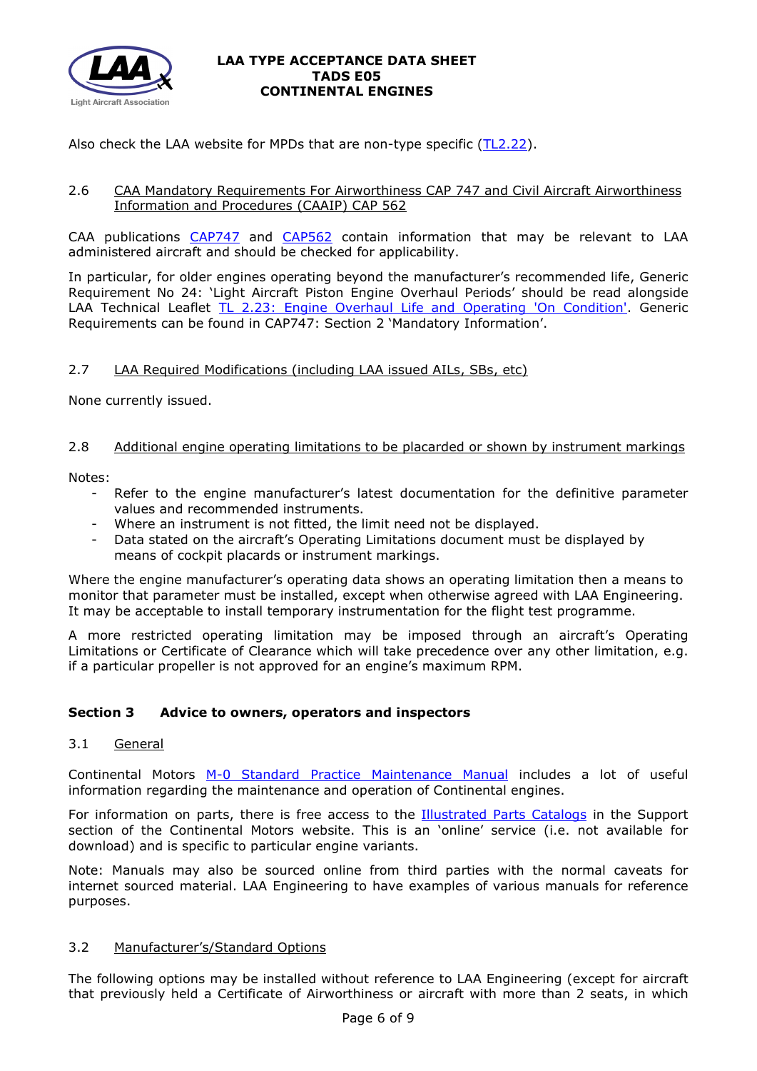

Also check the LAA website for MPDs that are non-type specific [\(TL2.22\)](http://www.lightaircraftassociation.co.uk/engineering/TechnicalLeaflets/Operating%20An%20Aircraft/TL%202.22%20non-type%20specific%20MPDs.pdf).

## 2.6 CAA Mandatory Requirements For Airworthiness CAP 747 and Civil Aircraft Airworthiness Information and Procedures (CAAIP) CAP 562

CAA publications [CAP747](http://www.caa.co.uk/CAP747) and [CAP562](http://www.caa.co.uk/CAP562) contain information that may be relevant to LAA administered aircraft and should be checked for applicability.

In particular, for older engines operating beyond the manufacturer's recommended life, Generic Requirement No 24: 'Light Aircraft Piston Engine Overhaul Periods' should be read alongside LAA Technical Leaflet [TL 2.23: Engine Overhaul Life and Operating 'On Condition'.](http://www.lightaircraftassociation.co.uk/engineering/TechnicalLeaflets/Operating%20An%20Aircraft/TL%202%2023%20Engine%20overhaul%20life%20and%20operating%20on-condition.pdf) Generic Requirements can be found in CAP747: Section 2 'Mandatory Information'.

# 2.7 LAA Required Modifications (including LAA issued AILs, SBs, etc)

None currently issued.

### 2.8 Additional engine operating limitations to be placarded or shown by instrument markings

Notes:

- Refer to the engine manufacturer's latest documentation for the definitive parameter values and recommended instruments.
- Where an instrument is not fitted, the limit need not be displayed.
- Data stated on the aircraft's Operating Limitations document must be displayed by means of cockpit placards or instrument markings.

Where the engine manufacturer's operating data shows an operating limitation then a means to monitor that parameter must be installed, except when otherwise agreed with LAA Engineering. It may be acceptable to install temporary instrumentation for the flight test programme.

A more restricted operating limitation may be imposed through an aircraft's Operating Limitations or Certificate of Clearance which will take precedence over any other limitation, e.g. if a particular propeller is not approved for an engine's maximum RPM.

# **Section 3 Advice to owners, operators and inspectors**

# 3.1 General

Continental Motors [M-0 Standard Practice Maintenance Manual](http://www.lightaircraftassociation.co.uk/engineering/TADs/E05/M-0%20Continental%20Standard%20Practice%20Change%203%20010117.pdf) includes a lot of useful information regarding the maintenance and operation of Continental engines.

For information on parts, there is free access to the [Illustrated Parts Catalogs](http://continentalmotors.aero/support/illustrated-parts-catalog.aspx) in the Support section of the Continental Motors website. This is an 'online' service (i.e. not available for download) and is specific to particular engine variants.

Note: Manuals may also be sourced online from third parties with the normal caveats for internet sourced material. LAA Engineering to have examples of various manuals for reference purposes.

### 3.2 Manufacturer's/Standard Options

The following options may be installed without reference to LAA Engineering (except for aircraft that previously held a Certificate of Airworthiness or aircraft with more than 2 seats, in which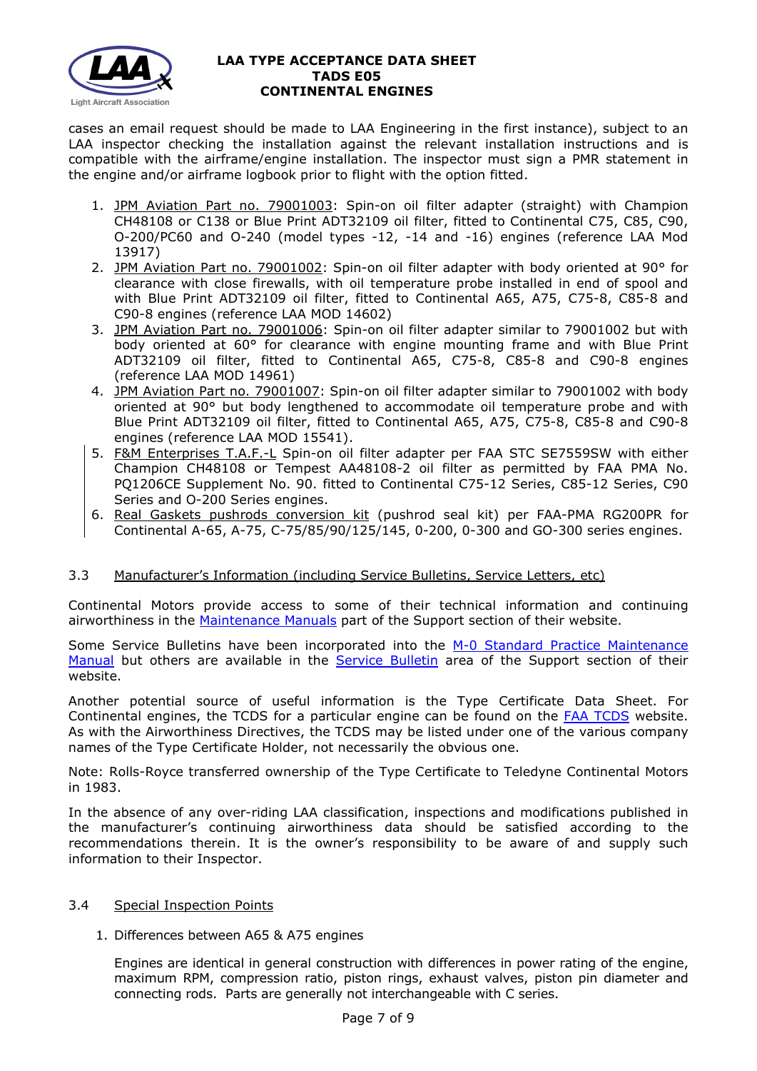

cases an email request should be made to LAA Engineering in the first instance), subject to an LAA inspector checking the installation against the relevant installation instructions and is compatible with the airframe/engine installation. The inspector must sign a PMR statement in the engine and/or airframe logbook prior to flight with the option fitted.

- 1. JPM Aviation Part no. 79001003: Spin-on oil filter adapter (straight) with Champion CH48108 or C138 or Blue Print ADT32109 oil filter, fitted to Continental C75, C85, C90, O-200/PC60 and O-240 (model types -12, -14 and -16) engines (reference LAA Mod 13917)
- 2. JPM Aviation Part no. 79001002: Spin-on oil filter adapter with body oriented at 90° for clearance with close firewalls, with oil temperature probe installed in end of spool and with Blue Print ADT32109 oil filter, fitted to Continental A65, A75, C75-8, C85-8 and C90-8 engines (reference LAA MOD 14602)
- 3. JPM Aviation Part no. 79001006: Spin-on oil filter adapter similar to 79001002 but with body oriented at 60° for clearance with engine mounting frame and with Blue Print ADT32109 oil filter, fitted to Continental A65, C75-8, C85-8 and C90-8 engines (reference LAA MOD 14961)
- 4. JPM Aviation Part no. 79001007: Spin-on oil filter adapter similar to 79001002 with body oriented at 90° but body lengthened to accommodate oil temperature probe and with Blue Print ADT32109 oil filter, fitted to Continental A65, A75, C75-8, C85-8 and C90-8 engines (reference LAA MOD 15541).
- 5. F&M Enterprises T.A.F.-L Spin-on oil filter adapter per FAA STC SE7559SW with either Champion CH48108 or Tempest AA48108-2 oil filter as permitted by FAA PMA No. PQ1206CE Supplement No. 90. fitted to Continental C75-12 Series, C85-12 Series, C90 Series and O-200 Series engines.
- 6. Real Gaskets pushrods conversion kit (pushrod seal kit) per FAA-PMA RG200PR for Continental A-65, A-75, C-75/85/90/125/145, 0-200, 0-300 and GO-300 series engines.

# 3.3 Manufacturer's Information (including Service Bulletins, Service Letters, etc)

Continental Motors provide access to some of their technical information and continuing airworthiness in the [Maintenance Manuals](http://www.continentalmotors.aero/support/maintenance-manuals.aspx) part of the Support section of their website.

Some Service Bulletins have been incorporated into the [M-0 Standard Practice Maintenance](http://www.lightaircraftassociation.co.uk/engineering/TADs/E05/M-0%20Continental%20Standard%20Practice%20Change%203%20010117.pdf)  [Manual](http://www.lightaircraftassociation.co.uk/engineering/TADs/E05/M-0%20Continental%20Standard%20Practice%20Change%203%20010117.pdf) but others are available in the [Service Bulletin](http://www.continentalmotors.aero/support/service-bulletins.aspx) area of the Support section of their website.

Another potential source of useful information is the Type Certificate Data Sheet. For Continental engines, the TCDS for a particular engine can be found on the **FAA TCDS** website. As with the Airworthiness Directives, the TCDS may be listed under one of the various company names of the Type Certificate Holder, not necessarily the obvious one.

Note: Rolls-Royce transferred ownership of the Type Certificate to Teledyne Continental Motors in 1983.

In the absence of any over-riding LAA classification, inspections and modifications published in the manufacturer's continuing airworthiness data should be satisfied according to the recommendations therein. It is the owner's responsibility to be aware of and supply such information to their Inspector.

### 3.4 Special Inspection Points

### 1. Differences between A65 & A75 engines

Engines are identical in general construction with differences in power rating of the engine, maximum RPM, compression ratio, piston rings, exhaust valves, piston pin diameter and connecting rods. Parts are generally not interchangeable with C series.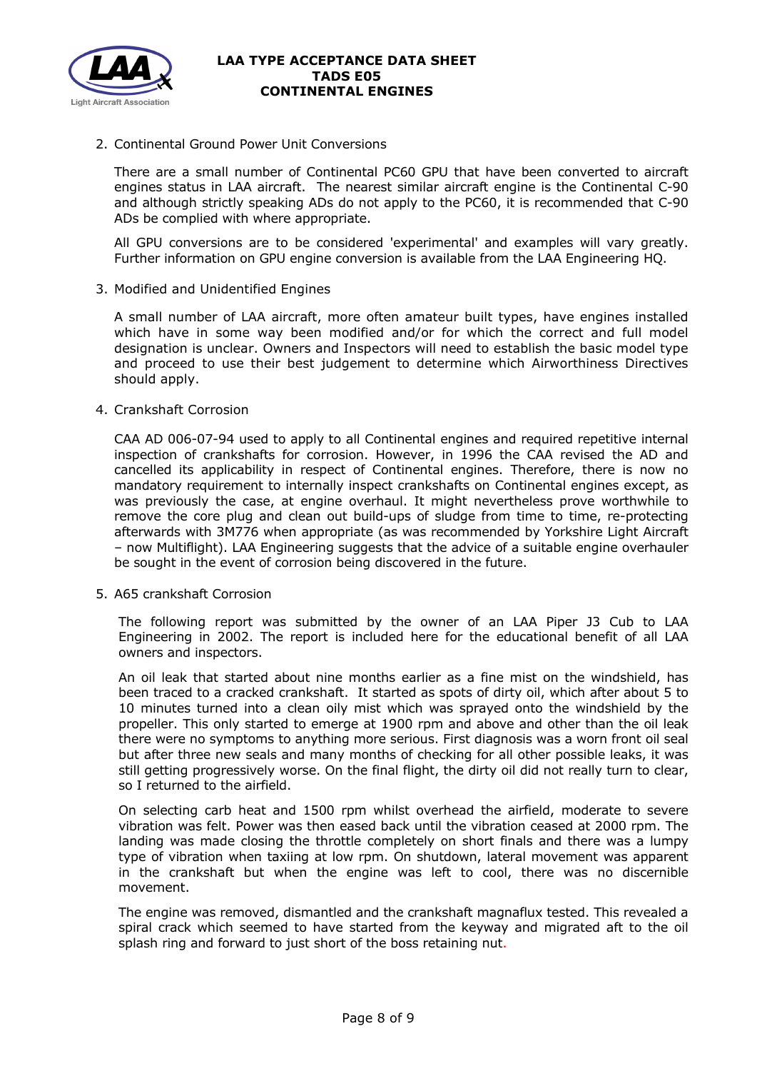

2. Continental Ground Power Unit Conversions

There are a small number of Continental PC60 GPU that have been converted to aircraft engines status in LAA aircraft. The nearest similar aircraft engine is the Continental C-90 and although strictly speaking ADs do not apply to the PC60, it is recommended that C-90 ADs be complied with where appropriate.

All GPU conversions are to be considered 'experimental' and examples will vary greatly. Further information on GPU engine conversion is available from the LAA Engineering HQ.

3. Modified and Unidentified Engines

A small number of LAA aircraft, more often amateur built types, have engines installed which have in some way been modified and/or for which the correct and full model designation is unclear. Owners and Inspectors will need to establish the basic model type and proceed to use their best judgement to determine which Airworthiness Directives should apply.

4. Crankshaft Corrosion

CAA AD 006-07-94 used to apply to all Continental engines and required repetitive internal inspection of crankshafts for corrosion. However, in 1996 the CAA revised the AD and cancelled its applicability in respect of Continental engines. Therefore, there is now no mandatory requirement to internally inspect crankshafts on Continental engines except, as was previously the case, at engine overhaul. It might nevertheless prove worthwhile to remove the core plug and clean out build-ups of sludge from time to time, re-protecting afterwards with 3M776 when appropriate (as was recommended by Yorkshire Light Aircraft – now Multiflight). LAA Engineering suggests that the advice of a suitable engine overhauler be sought in the event of corrosion being discovered in the future.

5. A65 crankshaft Corrosion

The following report was submitted by the owner of an LAA Piper J3 Cub to LAA Engineering in 2002. The report is included here for the educational benefit of all LAA owners and inspectors.

An oil leak that started about nine months earlier as a fine mist on the windshield, has been traced to a cracked crankshaft. It started as spots of dirty oil, which after about 5 to 10 minutes turned into a clean oily mist which was sprayed onto the windshield by the propeller. This only started to emerge at 1900 rpm and above and other than the oil leak there were no symptoms to anything more serious. First diagnosis was a worn front oil seal but after three new seals and many months of checking for all other possible leaks, it was still getting progressively worse. On the final flight, the dirty oil did not really turn to clear, so I returned to the airfield.

On selecting carb heat and 1500 rpm whilst overhead the airfield, moderate to severe vibration was felt. Power was then eased back until the vibration ceased at 2000 rpm. The landing was made closing the throttle completely on short finals and there was a lumpy type of vibration when taxiing at low rpm. On shutdown, lateral movement was apparent in the crankshaft but when the engine was left to cool, there was no discernible movement.

The engine was removed, dismantled and the crankshaft magnaflux tested. This revealed a spiral crack which seemed to have started from the keyway and migrated aft to the oil splash ring and forward to just short of the boss retaining nut.